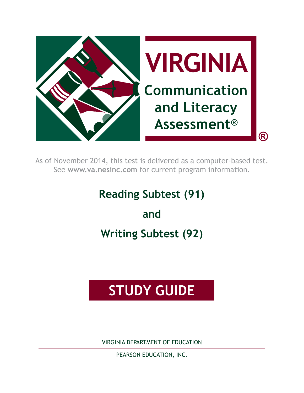

As of November 2014, this test is delivered as a computer-based test. See **www.va.nesinc.com** for current program information.

# **Reading Subtest (91)**

**and Writing Subtest (92)**

# **STUDY GUIDE**

VIRGINIA DEPARTMENT OF EDUCATION

PEARSON EDUCATION, INC.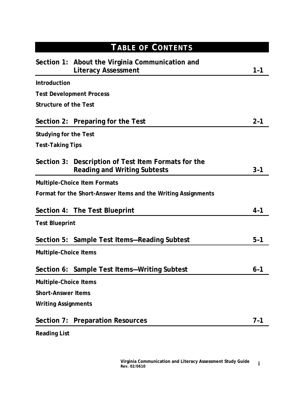| <b>TABLE OF CONTENTS</b>     |                                                                                            |         |  |  |
|------------------------------|--------------------------------------------------------------------------------------------|---------|--|--|
|                              | Section 1: About the Virginia Communication and<br><b>Literacy Assessment</b>              | 1-1     |  |  |
| <b>Introduction</b>          |                                                                                            |         |  |  |
|                              | <b>Test Development Process</b>                                                            |         |  |  |
| <b>Structure of the Test</b> |                                                                                            |         |  |  |
|                              | Section 2: Preparing for the Test                                                          | $2 - 1$ |  |  |
| <b>Studying for the Test</b> |                                                                                            |         |  |  |
| <b>Test-Taking Tips</b>      |                                                                                            |         |  |  |
|                              | Section 3: Description of Test Item Formats for the<br><b>Reading and Writing Subtests</b> | $3 - 1$ |  |  |
|                              | <b>Multiple-Choice Item Formats</b>                                                        |         |  |  |
|                              | Format for the Short-Answer Items and the Writing Assignments                              |         |  |  |
|                              | Section 4: The Test Blueprint                                                              | $4 - 1$ |  |  |
| <b>Test Blueprint</b>        |                                                                                            |         |  |  |
|                              | Section 5: Sample Test Items-Reading Subtest                                               | $5-1$   |  |  |
| <b>Multiple-Choice Items</b> |                                                                                            |         |  |  |
|                              | Section 6: Sample Test Items-Writing Subtest                                               | $6 - 1$ |  |  |
| <b>Multiple-Choice Items</b> |                                                                                            |         |  |  |
| <b>Short-Answer Items</b>    |                                                                                            |         |  |  |
| <b>Writing Assignments</b>   |                                                                                            |         |  |  |
| Section 7:                   | <b>Preparation Resources</b>                                                               | $7 - 1$ |  |  |
| <b>Reading List</b>          |                                                                                            |         |  |  |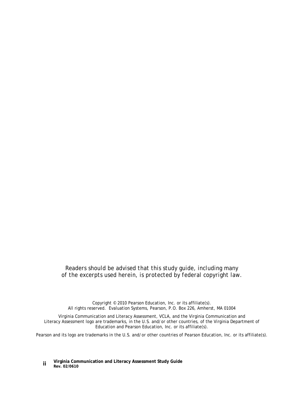#### *Readers should be advised that this study guide, including many of the excerpts used herein, is protected by federal copyright law.*

Copyright © 2010 Pearson Education, Inc. or its affiliate(s). All rights reserved. Evaluation Systems, Pearson, P.O. Box 226, Amherst, MA 01004

Virginia Communication and Literacy Assessment, VCLA, and the Virginia Communication and Literacy Assessment logo are trademarks, in the U.S. and/or other countries, of the Virginia Department of Education and Pearson Education, Inc. or its affiliate(s).

Pearson and its logo are trademarks in the U.S. and/or other countries of Pearson Education, Inc. or its affiliate(s).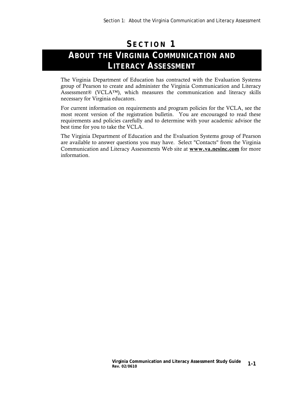# **S ECTION 1 ABOUT THE VIRGINIA COMMUNICATION AND LITERACY ASSESSMENT**

The Virginia Department of Education has contracted with the Evaluation Systems group of Pearson to create and administer the Virginia Communication and Literacy Assessment® (VCLA™), which measures the communication and literacy skills necessary for Virginia educators.

For current information on requirements and program policies for the VCLA, see the most recent version of the registration bulletin. You are encouraged to read these requirements and policies carefully and to determine with your academic advisor the best time for you to take the VCLA.

The Virginia Department of Education and the Evaluation Systems group of Pearson are available to answer questions you may have. Select "Contacts" from the Virginia Communication and Literacy Assessments Web site at www.va.nesinc.com for more information.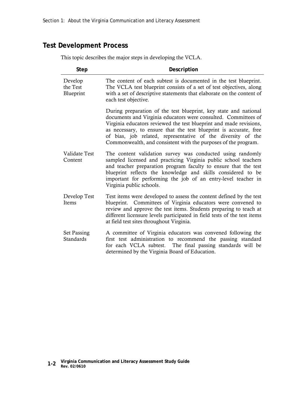## **Test Development Process**

| Step                             | Description                                                                                                                                                                                                                                                                                                                                                                                                     |  |  |
|----------------------------------|-----------------------------------------------------------------------------------------------------------------------------------------------------------------------------------------------------------------------------------------------------------------------------------------------------------------------------------------------------------------------------------------------------------------|--|--|
| Develop<br>the Test<br>Blueprint | The content of each subtest is documented in the test blueprint.<br>The VCLA test blueprint consists of a set of test objectives, along<br>with a set of descriptive statements that elaborate on the content of<br>each test objective.                                                                                                                                                                        |  |  |
|                                  | During preparation of the test blueprint, key state and national<br>documents and Virginia educators were consulted. Committees of<br>Virginia educators reviewed the test blueprint and made revisions,<br>as necessary, to ensure that the test blueprint is accurate, free<br>of bias, job related, representative of the diversity of the<br>Commonwealth, and consistent with the purposes of the program. |  |  |
| Validate Test<br>Content         | The content validation survey was conducted using randomly<br>sampled licensed and practicing Virginia public school teachers<br>and teacher preparation program faculty to ensure that the test<br>blueprint reflects the knowledge and skills considered to be<br>important for performing the job of an entry-level teacher in<br>Virginia public schools.                                                   |  |  |
| Develop Test<br>Items            | Test items were developed to assess the content defined by the test<br>blueprint. Committees of Virginia educators were convened to<br>review and approve the test items. Students preparing to teach at<br>different licensure levels participated in field tests of the test items<br>at field test sites throughout Virginia.                                                                                |  |  |
| <b>Set Passing</b><br>Standards  | A committee of Virginia educators was convened following the<br>first test administration to recommend the passing standard<br>for each VCLA subtest. The final passing standards will be<br>determined by the Virginia Board of Education.                                                                                                                                                                     |  |  |

This topic describes the major steps in developing the VCLA.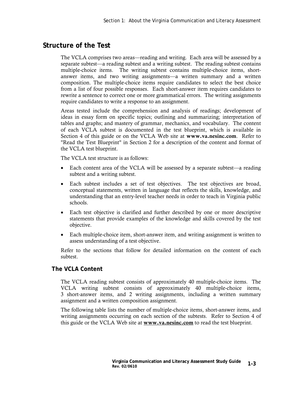### **Structure of the Test**

The VCLA comprises two areas—reading and writing. Each area will be assessed by a separate subtest—a reading subtest and a writing subtest. The reading subtest contains multiple-choice items. The writing subtest contains multiple-choice items, shortanswer items, and two writing assignments—a written summary and a written composition. The multiple-choice items require candidates to select the best choice from a list of four possible responses. Each short-answer item requires candidates to rewrite a sentence to correct one or more grammatical errors. The writing assignments require candidates to write a response to an assignment.

Areas tested include the comprehension and analysis of readings; development of ideas in essay form on specific topics; outlining and summarizing; interpretation of tables and graphs; and mastery of grammar, mechanics, and vocabulary. The content of each VCLA subtest is documented in the test blueprint, which is available in Section 4 of this guide or on the VCLA Web site at www.va.nesinc.com. Refer to "Read the Test Blueprint" in Section 2 for a description of the content and format of the VCLA test blueprint.

The VCLA test structure is as follows:

- Each content area of the VCLA will be assessed by a separate subtest—a reading subtest and a writing subtest.
- Each subtest includes a set of test objectives. The test objectives are broad, conceptual statements, written in language that reflects the skills, knowledge, and understanding that an entry-level teacher needs in order to teach in Virginia public schools.
- Each test objective is clarified and further described by one or more descriptive statements that provide examples of the knowledge and skills covered by the test objective.
- Each multiple-choice item, short-answer item, and writing assignment is written to assess understanding of a test objective.

Refer to the sections that follow for detailed information on the content of each subtest.

#### **The VCLA Content**

The VCLA reading subtest consists of approximately 40 multiple-choice items. The VCLA writing subtest consists of approximately 40 multiple-choice items, 3 short-answer items, and 2 writing assignments, including a written summary assignment and a written composition assignment.

The following table lists the number of multiple-choice items, short-answer items, and writing assignments occurring on each section of the subtests. Refer to Section 4 of this guide or the VCLA Web site at **www.va.nesinc.com** to read the test blueprint.